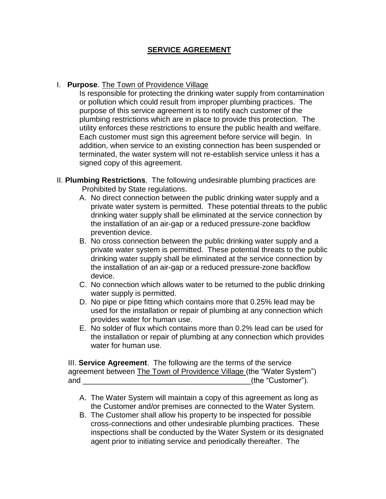## **SERVICE AGREEMENT**

## I. **Purpose**. The Town of Providence Village

Is responsible for protecting the drinking water supply from contamination or pollution which could result from improper plumbing practices. The purpose of this service agreement is to notify each customer of the plumbing restrictions which are in place to provide this protection. The utility enforces these restrictions to ensure the public health and welfare. Each customer must sign this agreement before service will begin. In addition, when service to an existing connection has been suspended or terminated, the water system will not re-establish service unless it has a signed copy of this agreement.

- II. **Plumbing Restrictions**. The following undesirable plumbing practices are Prohibited by State regulations.
	- A. No direct connection between the public drinking water supply and a private water system is permitted. These potential threats to the public drinking water supply shall be eliminated at the service connection by the installation of an air-gap or a reduced pressure-zone backflow prevention device.
	- B. No cross connection between the public drinking water supply and a private water system is permitted. These potential threats to the public drinking water supply shall be eliminated at the service connection by the installation of an air-gap or a reduced pressure-zone backflow device.
	- C. No connection which allows water to be returned to the public drinking water supply is permitted.
	- D. No pipe or pipe fitting which contains more that 0.25% lead may be used for the installation or repair of plumbing at any connection which provides water for human use.
	- E. No solder of flux which contains more than 0.2% lead can be used for the installation or repair of plumbing at any connection which provides water for human use.

III. **Service Agreement**. The following are the terms of the service agreement between The Town of Providence Village (the "Water System") and \_\_\_\_\_\_\_\_\_\_\_\_\_\_\_\_\_\_\_\_\_\_\_\_\_\_\_\_\_\_\_\_\_\_\_\_\_\_\_\_(the "Customer").

- A. The Water System will maintain a copy of this agreement as long as the Customer and/or premises are connected to the Water System.
- B. The Customer shall allow his property to be inspected for possible cross-connections and other undesirable plumbing practices. These inspections shall be conducted by the Water System or its designated agent prior to initiating service and periodically thereafter. The